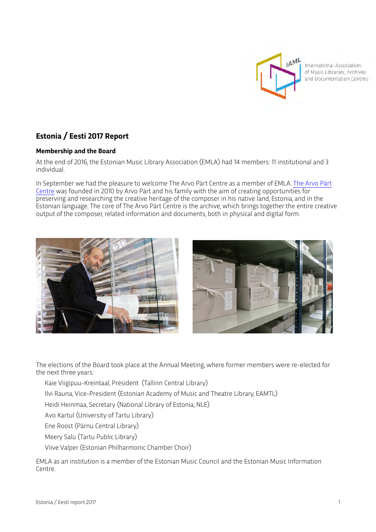

International Association of Music Libraries, Archives and Documentation Centres

# **Estonia / Eesti 2017 Report**

## **Membership and the Board**

At the end of 2016, the Estonian Music Library Association (EMLA) had 14 members: 11 institutional and 3 individual.

In September we had the pleasure to welcome The Arvo Pärt Centre as a member of EMLA. [The Arvo Pärt](http://www.arvopart.ee)  [Centre](http://www.arvopart.ee) was founded in 2010 by Arvo Pärt and his family with the aim of creating opportunities for preserving and researching the creative heritage of the composer in his native land, Estonia, and in the Estonian language. The core of The Arvo Pärt Centre is the archive, which brings together the entire creative output of the composer, related information and documents, both in physical and digital form.



The elections of the Board took place at the Annual Meeting, where former members were re-elected for the next three years:

Kaie Viigipuu-Kreintaal, President (Tallinn Central Library)

Ilvi Rauna, Vice-President (Estonian Academy of Music and Theatre Library, EAMTL)

Heidi Heinmaa, Secretary (National Library of Estonia, NLE)

Avo Kartul (University of Tartu Library)

Ene Roost (Pärnu Central Library)

Meery Salu (Tartu Public Library)

Viive Valper (Estonian Philharmonic Chamber Choir)

EMLA as an institution is a member of the Estonian Music Council and the Estonian Music Information Centre.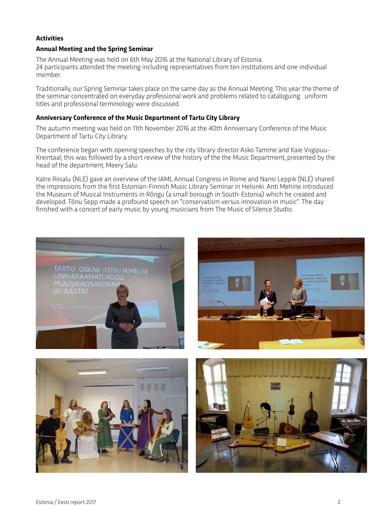## **Activities**

#### **Annual Meeting and the Spring Seminar**

The Annual Meeting was held on 6th May 2016 at the National Library of Estonia. 24 participants atended the meeting including representatives from ten institutions and one individual member.

Traditionally, our Spring Seminar takes place on the same day as the Annual Meeting. This year the theme of the seminar concentrated on everyday professional work and problems related to cataloguing: uniform titles and professional terminology were discussed.

#### **Anniversary Conference of the Music Department of Tartu City Library**

The autumn meeting was held on 11th November 2016 at the 40th Anniversary Conference of the Music Department of Tartu City Library.

The conference began with opening speeches by the city library director Asko Tamme and Kaie Viigipuu-Kreintaal; this was followed by a short review of the history of the the Music Department, presented by the head of the department, Meery Salu.

Katre Riisalu (NLE) gave an overview of the IAML Annual Congress in Rome and Nansi Leppik (NLE) shared the impressions from the first Estonian-Finnish Music Library Seminar in Helsinki. Anti Mehine introduced the Museum of Musical Instruments in Rõngu (a small borough in South-Estonia) which he created and developed. Tõnu Sepp made a profound speech on "conservatism versus innovation in music". The day finished with a concert of early music by young musicians from The Music of Silence Studio.